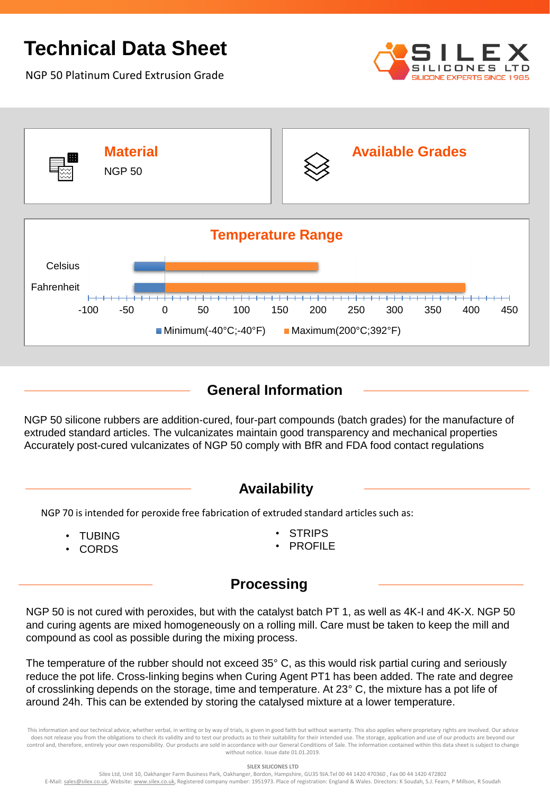# **Technical Data Sheet**

NGP 50 Platinum Cured Extrusion Grade





### **General Information**

NGP 50 silicone rubbers are addition-cured, four-part compounds (batch grades) for the manufacture of extruded standard articles. The vulcanizates maintain good transparency and mechanical properties Accurately post-cured vulcanizates of NGP 50 comply with BfR and FDA food contact regulations

#### **Availability**

NGP 70 is intended for peroxide free fabrication of extruded standard articles such as:

- TUBING
- CORDS
- **STRIPS**
- **PROFILE**

#### **Processing**

NGP 50 is not cured with peroxides, but with the catalyst batch PT 1, as well as 4K-I and 4K-X. NGP 50 and curing agents are mixed homogeneously on a rolling mill. Care must be taken to keep the mill and compound as cool as possible during the mixing process.

The temperature of the rubber should not exceed 35° C, as this would risk partial curing and seriously reduce the pot life. Cross-linking begins when Curing Agent PT1 has been added. The rate and degree of crosslinking depends on the storage, time and temperature. At 23° C, the mixture has a pot life of around 24h. This can be extended by storing the catalysed mixture at a lower temperature.

This information and our technical advice, whether verbal, in writing or by way of trials, is given in good faith but without warranty. This also applies where proprietary rights are involved. Our advice does not release you from the obligations to check its validity and to test our products as to their suitability for their intended use. The storage, application and use of our products are beyond our control and, therefore, entirely your own responsibility. Our products are sold in accordance with our General Conditions of Sale. The information contained within this data sheet is subject to change without notice. Issue date 01.01.2019.

**SILEX SILICONES LTD**

Silex Ltd, Unit 10, Oakhanger Farm Business Park, Oakhanger, Bordon, Hampshire, GU35 9JA.Tel 00 44 1420 470360 , Fax 00 44 1420 472802 E-Mail: sales@silex.co.uk, Website: www.silex.co.uk, Registered company number: 1951973. Place of registration: England & Wales. Directors: K Soudah, S.J. Fearn, P Millson, R Soudah